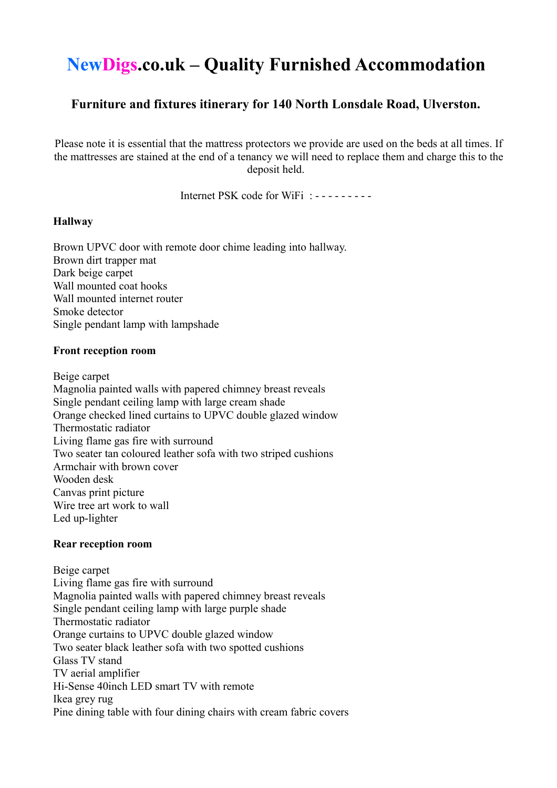# **NewDigs.co.uk – Quality Furnished Accommodation**

## **Furniture and fixtures itinerary for 140 North Lonsdale Road, Ulverston.**

Please note it is essential that the mattress protectors we provide are used on the beds at all times. If the mattresses are stained at the end of a tenancy we will need to replace them and charge this to the deposit held.

Internet PSK code for WiFi : - - - - - - - - -

## **Hallway**

Brown UPVC door with remote door chime leading into hallway. Brown dirt trapper mat Dark beige carpet Wall mounted coat hooks Wall mounted internet router Smoke detector Single pendant lamp with lampshade

## **Front reception room**

Beige carpet

Magnolia painted walls with papered chimney breast reveals Single pendant ceiling lamp with large cream shade Orange checked lined curtains to UPVC double glazed window Thermostatic radiator Living flame gas fire with surround Two seater tan coloured leather sofa with two striped cushions Armchair with brown cover Wooden desk Canvas print picture Wire tree art work to wall Led up-lighter

## **Rear reception room**

Beige carpet Living flame gas fire with surround Magnolia painted walls with papered chimney breast reveals Single pendant ceiling lamp with large purple shade Thermostatic radiator Orange curtains to UPVC double glazed window Two seater black leather sofa with two spotted cushions Glass TV stand TV aerial amplifier Hi-Sense 40inch LED smart TV with remote Ikea grey rug Pine dining table with four dining chairs with cream fabric covers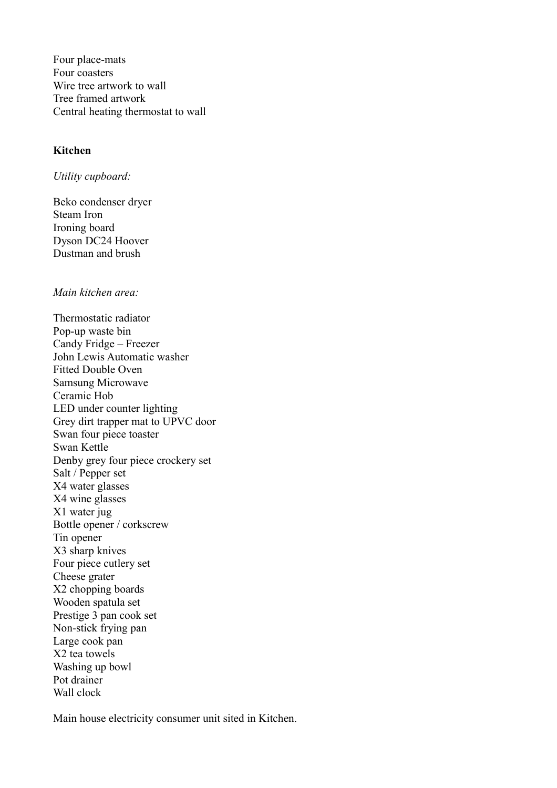Four place-mats Four coasters Wire tree artwork to wall Tree framed artwork Central heating thermostat to wall

## **Kitchen**

*Utility cupboard:*

Beko condenser dryer Steam Iron Ironing board Dyson DC24 Hoover Dustman and brush

*Main kitchen area:*

Thermostatic radiator Pop-up waste bin Candy Fridge – Freezer John Lewis Automatic washer Fitted Double Oven Samsung Microwave Ceramic Hob LED under counter lighting Grey dirt trapper mat to UPVC door Swan four piece toaster Swan Kettle Denby grey four piece crockery set Salt / Pepper set X4 water glasses X4 wine glasses X1 water jug Bottle opener / corkscrew Tin opener X3 sharp knives Four piece cutlery set Cheese grater X2 chopping boards Wooden spatula set Prestige 3 pan cook set Non-stick frying pan Large cook pan X2 tea towels Washing up bowl Pot drainer Wall clock

Main house electricity consumer unit sited in Kitchen.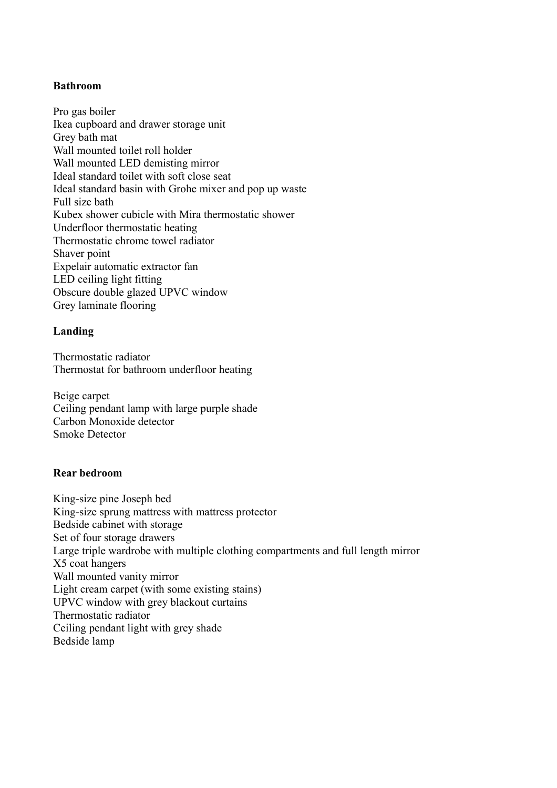## **Bathroom**

Pro gas boiler Ikea cupboard and drawer storage unit Grey bath mat Wall mounted toilet roll holder Wall mounted LED demisting mirror Ideal standard toilet with soft close seat Ideal standard basin with Grohe mixer and pop up waste Full size bath Kubex shower cubicle with Mira thermostatic shower Underfloor thermostatic heating Thermostatic chrome towel radiator Shaver point Expelair automatic extractor fan LED ceiling light fitting Obscure double glazed UPVC window Grey laminate flooring

## **Landing**

Thermostatic radiator Thermostat for bathroom underfloor heating

Beige carpet Ceiling pendant lamp with large purple shade Carbon Monoxide detector Smoke Detector

## **Rear bedroom**

King-size pine Joseph bed King-size sprung mattress with mattress protector Bedside cabinet with storage Set of four storage drawers Large triple wardrobe with multiple clothing compartments and full length mirror X5 coat hangers Wall mounted vanity mirror Light cream carpet (with some existing stains) UPVC window with grey blackout curtains Thermostatic radiator Ceiling pendant light with grey shade Bedside lamp